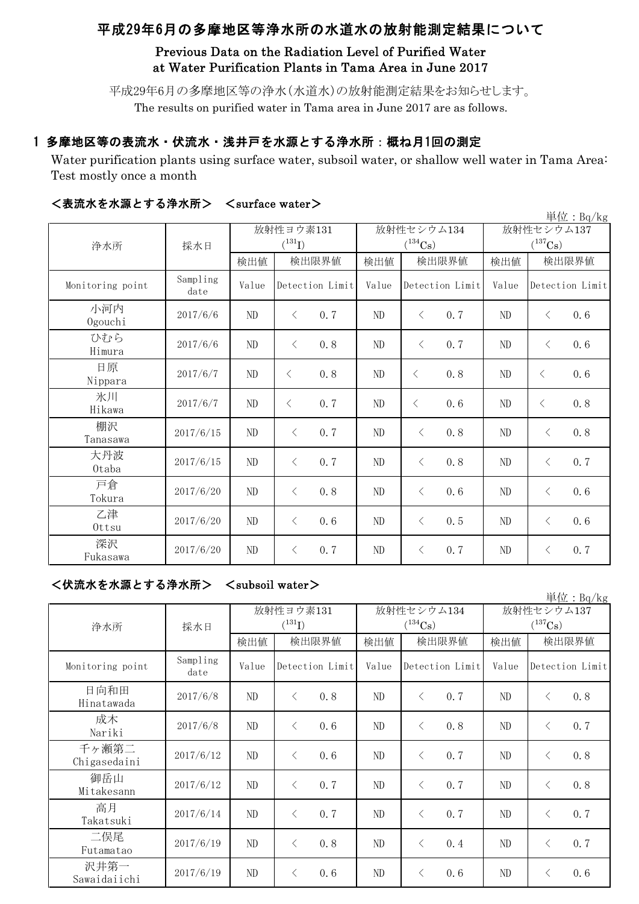# 平成29年6月の多摩地区等浄水所の水道水の放射能測定結果について

## Previous Data on the Radiation Level of Purified Water at Water Purification Plants in Tama Area in June 2017

平成29年6月の多摩地区等の浄水(水道水)の放射能測定結果をお知らせします。 The results on purified water in Tama area in June 2017 are as follows.

### 1 多摩地区等の表流水・伏流水・浅井戸を水源とする浄水所:概ね月1回の測定

Water purification plants using surface water, subsoil water, or shallow well water in Tama Area: Test mostly once a month

| 単位: Bq/kg        |                  |             |                 |       |                       |                 |      |                       |       |                 |
|------------------|------------------|-------------|-----------------|-------|-----------------------|-----------------|------|-----------------------|-------|-----------------|
| 浄水所              |                  | 放射性ヨウ素131   |                 |       | 放射性セシウム134            |                 |      | 放射性セシウム137            |       |                 |
|                  | 採水日              | $(^{131}I)$ |                 |       | $(^{134}\mathrm{Cs})$ |                 |      | $(^{137}\mathrm{Cs})$ |       |                 |
|                  |                  | 検出値         |                 | 検出限界値 | 検出値                   | 検出限界値           |      | 検出値                   | 検出限界値 |                 |
| Monitoring point | Sampling<br>date | Value       | Detection Limit |       | Value                 | Detection Limit |      | Value                 |       | Detection Limit |
| 小河内<br>Ogouchi   | 2017/6/6         | ND          | $\lt$           | 0.7   | ND                    | $\lt$           | 0.7  | ND                    | $\lt$ | 0.6             |
| ひむら<br>Himura    | 2017/6/6         | $\rm ND$    | $\langle$       | 0.8   | $\rm ND$              | $\lt$           | 0.7  | ND                    | $\lt$ | 0.6             |
| 日原<br>Nippara    | 2017/6/7         | $\rm ND$    | $\langle$       | 0.8   | $\rm ND$              | $\lt$           | 0.8  | ND                    | $\lt$ | 0.6             |
| 氷川<br>Hikawa     | 2017/6/7         | $\rm ND$    | $\langle$       | 0.7   | $\rm ND$              | $\lt$           | 0.6  | ND                    | $\lt$ | 0.8             |
| 棚沢<br>Tanasawa   | 2017/6/15        | $\rm ND$    | $\langle$       | 0.7   | ND                    | $\lt$           | 0.8  | ND                    | $\lt$ | 0.8             |
| 大丹波<br>Otaba     | 2017/6/15        | $\rm ND$    | $\langle$       | 0.7   | $\rm ND$              | $\lt$           | 0.8  | $\rm ND$              | $\lt$ | 0.7             |
| 戸倉<br>Tokura     | 2017/6/20        | ND          | $\langle$       | 0.8   | ND                    | $\lt$           | 0.6  | ND                    | $\lt$ | 0.6             |
| 乙津<br>Ottsu      | 2017/6/20        | $\rm ND$    | $\langle$       | 0.6   | $\rm ND$              | $\lt$           | 0.5  | ND                    | $\lt$ | 0.6             |
| 深沢<br>Fukasawa   | 2017/6/20        | $\rm ND$    | $\langle$       | 0.7   | ND                    | $\langle$       | 0, 7 | $\rm ND$              | $\lt$ | 0, 7            |

### <表流水を水源とする浄水所> <surface water>

# <伏流水を水源とする浄水所> <subsoil water>

| 浄水所                   | 採水日              |       | 放射性ヨウ素131<br>$(^{131}I)$ |       | 放射性セシウム134<br>$(^{134}\mathrm{Cs})$ | 放射性セシウム137<br>$(^{137}\mathrm{Cs})$ |                  |  |
|-----------------------|------------------|-------|--------------------------|-------|-------------------------------------|-------------------------------------|------------------|--|
|                       |                  | 検出値   | 検出限界値                    | 検出値   | 検出限界値                               | 検出値                                 | 検出限界値            |  |
| Monitoring point      | Sampling<br>date | Value | Detection Limit          | Value | Detection Limit                     | Value                               | Detection Limit  |  |
| 日向和田<br>Hinatawada    | 2017/6/8         | ND    | 0.8<br>$\langle$         | ND    | 0.7<br>ぐ                            | ND                                  | 0.8<br>$\langle$ |  |
| 成木<br>Nariki          | 2017/6/8         | ND    | 0.6<br>$\langle$         | ND    | 0.8<br>ぐ                            | $\rm ND$                            | 0.7<br>$\langle$ |  |
| 千ヶ瀬第二<br>Chigasedaini | 2017/6/12        | ND    | 0.6<br>$\langle$         | ND    | 0, 7<br>く                           | ND                                  | 0.8<br>$\langle$ |  |
| 御岳山<br>Mitakesann     | 2017/6/12        | ND    | 0.7<br>$\langle$         | ND    | 0.7<br>ぐ                            | ND                                  | 0.8<br>$\langle$ |  |
| 高月<br>Takatsuki       | 2017/6/14        | ND    | 0.7<br>$\langle$         | ND.   | 0.7<br>$\lt$                        | ND                                  | 0.7<br>$\langle$ |  |
| 二俣尾<br>Futamatao      | 2017/6/19        | ND    | 0.8<br>$\langle$         | ND    | 0.4<br>⟨                            | $\rm ND$                            | 0.7<br>$\lt$     |  |
| 沢井第一<br>Sawaidaiichi  | 2017/6/19        | ND    | 0.6                      | ND    | 0.6<br>⟨                            | $\rm ND$                            | 0.6<br>⟨         |  |

単位:Bq/kg